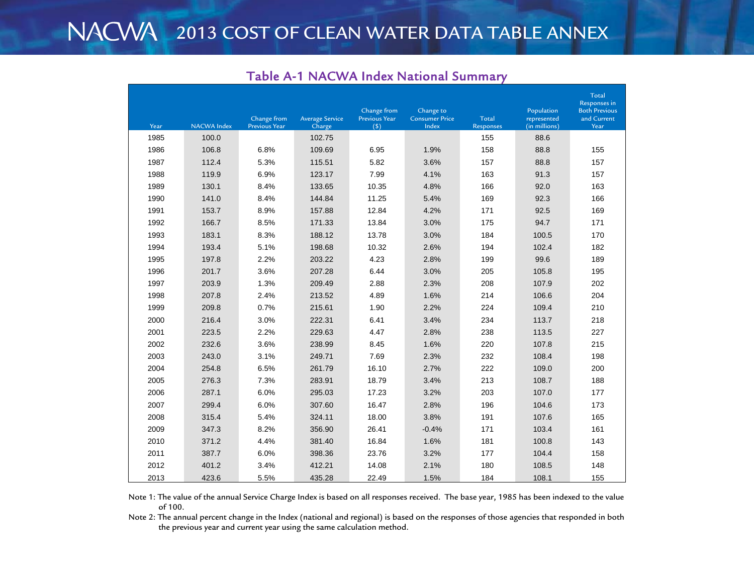| Year | <b>NACWA Index</b> | Change from<br><b>Previous Year</b> | <b>Average Service</b><br>Charge | Change from<br><b>Previous Year</b><br>(5) | Change to<br><b>Consumer Price</b><br>Index | <b>Total</b><br><b>Responses</b> | Population<br>represented<br>(in millions) | Total<br>Responses in<br><b>Both Previous</b><br>and Current<br>Year |
|------|--------------------|-------------------------------------|----------------------------------|--------------------------------------------|---------------------------------------------|----------------------------------|--------------------------------------------|----------------------------------------------------------------------|
| 1985 | 100.0              |                                     | 102.75                           |                                            |                                             | 155                              | 88.6                                       |                                                                      |
| 1986 | 106.8              | 6.8%                                | 109.69                           | 6.95                                       | 1.9%                                        | 158                              | 88.8                                       | 155                                                                  |
| 1987 | 112.4              | 5.3%                                | 115.51                           | 5.82                                       | 3.6%                                        | 157                              | 88.8                                       | 157                                                                  |
| 1988 | 119.9              | 6.9%                                | 123.17                           | 7.99                                       | 4.1%                                        | 163                              | 91.3                                       | 157                                                                  |
| 1989 | 130.1              | 8.4%                                | 133.65                           | 10.35                                      | 4.8%                                        | 166                              | 92.0                                       | 163                                                                  |
| 1990 | 141.0              | 8.4%                                | 144.84                           | 11.25                                      | 5.4%                                        | 169                              | 92.3                                       | 166                                                                  |
| 1991 | 153.7              | 8.9%                                | 157.88                           | 12.84                                      | 4.2%                                        | 171                              | 92.5                                       | 169                                                                  |
| 1992 | 166.7              | 8.5%                                | 171.33                           | 13.84                                      | 3.0%                                        | 175                              | 94.7                                       | 171                                                                  |
| 1993 | 183.1              | 8.3%                                | 188.12                           | 13.78                                      | 3.0%                                        | 184                              | 100.5                                      | 170                                                                  |
| 1994 | 193.4              | 5.1%                                | 198.68                           | 10.32                                      | 2.6%                                        | 194                              | 102.4                                      | 182                                                                  |
| 1995 | 197.8              | 2.2%                                | 203.22                           | 4.23                                       | 2.8%                                        | 199                              | 99.6                                       | 189                                                                  |
| 1996 | 201.7              | 3.6%                                | 207.28                           | 6.44                                       | 3.0%                                        | 205                              | 105.8                                      | 195                                                                  |
| 1997 | 203.9              | 1.3%                                | 209.49                           | 2.88                                       | 2.3%                                        | 208                              | 107.9                                      | 202                                                                  |
| 1998 | 207.8              | 2.4%                                | 213.52                           | 4.89                                       | 1.6%                                        | 214                              | 106.6                                      | 204                                                                  |
| 1999 | 209.8              | 0.7%                                | 215.61                           | 1.90                                       | 2.2%                                        | 224                              | 109.4                                      | 210                                                                  |
| 2000 | 216.4              | 3.0%                                | 222.31                           | 6.41                                       | 3.4%                                        | 234                              | 113.7                                      | 218                                                                  |
| 2001 | 223.5              | 2.2%                                | 229.63                           | 4.47                                       | 2.8%                                        | 238                              | 113.5                                      | 227                                                                  |
| 2002 | 232.6              | 3.6%                                | 238.99                           | 8.45                                       | 1.6%                                        | 220                              | 107.8                                      | 215                                                                  |
| 2003 | 243.0              | 3.1%                                | 249.71                           | 7.69                                       | 2.3%                                        | 232                              | 108.4                                      | 198                                                                  |
| 2004 | 254.8              | 6.5%                                | 261.79                           | 16.10                                      | 2.7%                                        | 222                              | 109.0                                      | 200                                                                  |
| 2005 | 276.3              | 7.3%                                | 283.91                           | 18.79                                      | 3.4%                                        | 213                              | 108.7                                      | 188                                                                  |
| 2006 | 287.1              | 6.0%                                | 295.03                           | 17.23                                      | 3.2%                                        | 203                              | 107.0                                      | 177                                                                  |
| 2007 | 299.4              | 6.0%                                | 307.60                           | 16.47                                      | 2.8%                                        | 196                              | 104.6                                      | 173                                                                  |
| 2008 | 315.4              | 5.4%                                | 324.11                           | 18.00                                      | 3.8%                                        | 191                              | 107.6                                      | 165                                                                  |
| 2009 | 347.3              | 8.2%                                | 356.90                           | 26.41                                      | $-0.4%$                                     | 171                              | 103.4                                      | 161                                                                  |
| 2010 | 371.2              | 4.4%                                | 381.40                           | 16.84                                      | 1.6%                                        | 181                              | 100.8                                      | 143                                                                  |
| 2011 | 387.7              | 6.0%                                | 398.36                           | 23.76                                      | 3.2%                                        | 177                              | 104.4                                      | 158                                                                  |
| 2012 | 401.2              | 3.4%                                | 412.21                           | 14.08                                      | 2.1%                                        | 180                              | 108.5                                      | 148                                                                  |
| 2013 | 423.6              | 5.5%                                | 435.28                           | 22.49                                      | 1.5%                                        | 184                              | 108.1                                      | 155                                                                  |

## Table A-1 NACWA Index National Summary

Note 1: The value of the annual Service Charge Index is based on all responses received. The base year, 1985 has been indexed to the value of 100.

Note 2: The annual percent change in the Index (national and regional) is based on the responses of those agencies that responded in both the previous year and current year using the same calculation method.